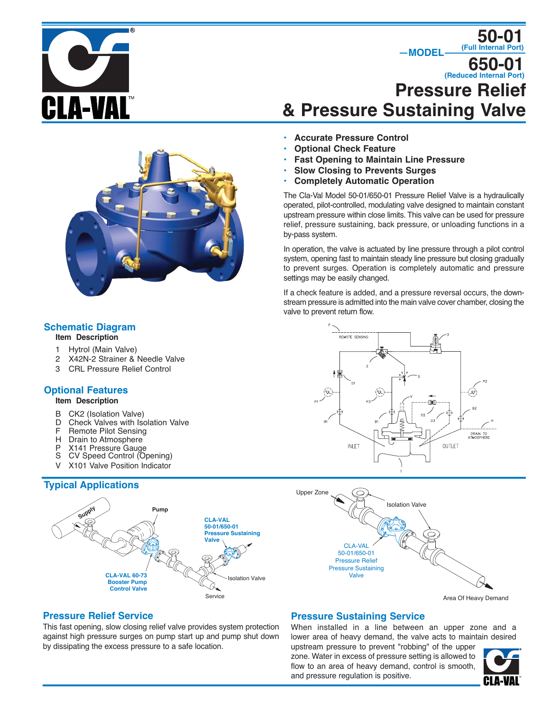Δ-VΔI



# **Pressure Relief & Pressure Sustaining Valve 650-01 (Reduced Internal Port)**

 $-MODEL$ 

**50-01 (Full Internal Port)**

- **• Accurate Pressure Control**
- **• Optional Check Feature**
- **• Fast Opening to Maintain Line Pressure**
- **• Slow Closing to Prevents Surges**
- **• Completely Automatic Operation**

The Cla-Val Model 50-01/650-01 Pressure Relief Valve is a hydraulically operated, pilot-controlled, modulating valve designed to maintain constant upstream pressure within close limits. This valve can be used for pressure relief, pressure sustaining, back pressure, or unloading functions in a by-pass system.

In operation, the valve is actuated by line pressure through a pilot control system, opening fast to maintain steady line pressure but closing gradually to prevent surges. Operation is completely automatic and pressure settings may be easily changed.

If a check feature is added, and a pressure reversal occurs, the downstream pressure is admitted into the main valve cover chamber, closing the valve to prevent return flow.





### **Pressure Relief Service**

This fast opening, slow closing relief valve provides system protection against high pressure surges on pump start up and pump shut down by dissipating the excess pressure to a safe location.

## **Pressure Sustaining Service**

When installed in a line between an upper zone and a lower area of heavy demand, the valve acts to maintain desired

upstream pressure to prevent "robbing" of the upper zone. Water in excess of pressure setting is allowed to flow to an area of heavy demand, control is smooth, and pressure regulation is positive.



# **Schematic Diagram**

- **Item Description**
- 1 Hytrol (Main Valve)
- 2 X42N-2 Strainer & Needle Valve
- 3 CRL Pressure Relief Control

## **Optional Features**

#### **Item Description**

- B CK2 (Isolation Valve)<br>D Check Valves with Iso
- D Check Valves with Isolation Valve<br>F Remote Pilot Sensing
- Remote Pilot Sensing
- H Drain to Atmosphere
- P X141 Pressure Gauge
- S CV Speed Control (Opening)
- V X101 Valve Position Indicator

# **Typical Applications**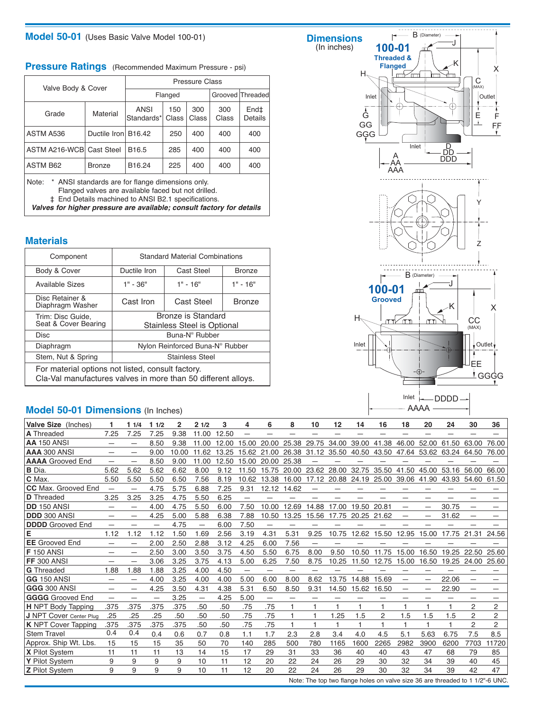## **Model 50-01** (Uses Basic Valve Model 100-01)

|  | <b>Pressure Ratings</b> (Recommended Maximum Pressure - psi) |  |
|--|--------------------------------------------------------------|--|
|--|--------------------------------------------------------------|--|

| Valve Body & Cover       |                                                                                                                                      | <b>Pressure Class</b>     |              |              |              |                  |  |  |  |  |  |  |
|--------------------------|--------------------------------------------------------------------------------------------------------------------------------------|---------------------------|--------------|--------------|--------------|------------------|--|--|--|--|--|--|
|                          |                                                                                                                                      |                           | Flanged      |              |              | Grooved Threaded |  |  |  |  |  |  |
| Grade                    | Material                                                                                                                             | <b>ANSI</b><br>Standards* | 150<br>Class | 300<br>Class | 300<br>Class | End‡<br>Details  |  |  |  |  |  |  |
| ASTM A536                | Ductile Iron B16.42                                                                                                                  |                           | 250          | 400          | 400          | 400              |  |  |  |  |  |  |
| ASTM A216-WCB Cast Steel |                                                                                                                                      | B <sub>16.5</sub>         | 285          | 400          | 400          | 400              |  |  |  |  |  |  |
| <b>ASTM B62</b>          | <b>Bronze</b>                                                                                                                        | B16.24                    | 225          | 400          | 400          | 400              |  |  |  |  |  |  |
| Note:                    | * ANSI standards are for flange dimensions only.<br>المتعالمات المتحدث فبريط المتحاجية بمالط والمتنادح بمناد والمتحدث المتحدد والتتا |                           |              |              |              |                  |  |  |  |  |  |  |

Flanged valves are available faced but not drilled.

‡ End Details machined to ANSI B2.1 specifications.

**Valves for higher pressure are available; consult factory for details**

### **Materials**

| Component                                                                                                          | <b>Standard Material Combinations</b>             |                                             |               |  |  |  |  |  |  |
|--------------------------------------------------------------------------------------------------------------------|---------------------------------------------------|---------------------------------------------|---------------|--|--|--|--|--|--|
| Body & Cover                                                                                                       | Ductile Iron                                      | Cast Steel                                  |               |  |  |  |  |  |  |
| Available Sizes                                                                                                    | $1" - 36"$                                        | $1" - 16"$                                  |               |  |  |  |  |  |  |
| Disc Retainer &<br>Diaphragm Washer                                                                                | Cast Iron                                         | <b>Cast Steel</b>                           | <b>Bronze</b> |  |  |  |  |  |  |
| Trim: Disc Guide,<br>Seat & Cover Bearing                                                                          | Bronze is Standard<br>Stainless Steel is Optional |                                             |               |  |  |  |  |  |  |
| <b>Disc</b>                                                                                                        | Buna-N <sup>®</sup> Rubber                        |                                             |               |  |  |  |  |  |  |
| Diaphragm                                                                                                          |                                                   | Nylon Reinforced Buna-N <sup>®</sup> Rubber |               |  |  |  |  |  |  |
| Stem, Nut & Spring                                                                                                 | <b>Stainless Steel</b>                            |                                             |               |  |  |  |  |  |  |
| For material options not listed, consult factory.<br>Cla-Val manufactures valves in more than 50 different alloys. |                                                   |                                             |               |  |  |  |  |  |  |

## **Model 50-01 Dimensions** (In Inches)



| Valve Size (Inches)            |                          | 11/4 | 11/2 | 2     | 21/2  | 3     | 4                        | 6           | 8     | 10                | 12    | 14                      | 16    | 18                       | 20                                                                            | 24    | 30                       | 36             |
|--------------------------------|--------------------------|------|------|-------|-------|-------|--------------------------|-------------|-------|-------------------|-------|-------------------------|-------|--------------------------|-------------------------------------------------------------------------------|-------|--------------------------|----------------|
| A Threaded                     | 7.25                     | 7.25 | 7.25 | 9.38  | 11.00 | 12.50 | —                        |             |       |                   |       |                         |       |                          | -                                                                             |       |                          |                |
| <b>AA 150 ANSI</b>             |                          |      | 8.50 | 9.38  | 11.00 | 12.00 | 15.00                    | 20.00       | 25.38 | 29.75             | 34.00 | 39.00                   | 41.38 | 46.00                    | 52.00                                                                         | 61.50 | 63.00                    | 76.00          |
| AAA 300 ANSI                   |                          | -    | 9.00 | 10.00 | 11.62 | 13.25 |                          | 15.62 21.00 |       | 26.38 31.12 35.50 |       | 40.50                   | 43.50 |                          | 47.64 53.62 63.24                                                             |       | 64.50                    | 76.00          |
| <b>AAAA</b> Grooved End        |                          |      | 8.50 | 9.00  | 11.00 | 12.50 | 15.00                    | 20.00       | 25.38 |                   |       |                         |       |                          |                                                                               |       |                          |                |
| <b>B</b> Dia.                  | 5.62                     | 5.62 | 5.62 | 6.62  | 8.00  | 9.12  | 11.50                    | 15.75       |       | 20.00 23.62 28.00 |       | 32.75                   | 35.50 | 41.50                    | 45.00                                                                         | 53.16 | 56.00                    | 66.00          |
| C Max.                         | 5.50                     | 5.50 | 5.50 | 6.50  | 7.56  | 8.19  | 10.62                    | 13.38       | 16.00 |                   |       | 17.12 20.88 24.19 25.00 |       |                          | 39.06 41.90                                                                   | 43.93 | 54.60                    | 61.50          |
| <b>CC</b> Max. Grooved End     | $\overline{\phantom{0}}$ | -    | 4.75 | 5.75  | 6.88  | 7.25  | 9.31                     | 12.12       | 14.62 |                   |       |                         |       |                          |                                                                               |       |                          |                |
| <b>D</b> Threaded              | 3.25                     | 3.25 | 3.25 | 4.75  | 5.50  | 6.25  |                          |             |       |                   |       |                         |       |                          |                                                                               |       |                          |                |
| <b>DD</b> 150 ANSI             |                          | -    | 4.00 | 4.75  | 5.50  | 6.00  | 7.50                     | 10.00       | 12.69 | 14.88             | 17.00 | 19.50                   | 20.81 |                          | -                                                                             | 30.75 |                          |                |
| <b>DDD 300 ANSI</b>            | —                        | -    | 4.25 | 5.00  | 5.88  | 6.38  | 7.88                     | 10.50       | 13.25 | 15.56             | 17.75 | 20.25 21.62             |       | $\overline{\phantom{m}}$ | $\overline{\phantom{m}}$                                                      | 31.62 | $\overline{\phantom{0}}$ |                |
| <b>DDDD</b> Grooved End        |                          |      | —    | 4.75  | —     | 6.00  | 7.50                     | -           |       |                   |       |                         |       |                          |                                                                               |       |                          |                |
| Е                              | 1.12                     | 1.12 | 1.12 | 1.50  | 1.69  | 2.56  | 3.19                     | 4.31        | 5.31  | 9.25              | 10.75 | 12.62                   | 15.50 | 12.95                    | 15.00                                                                         | 17.75 | 21.31                    | 24.56          |
| <b>EE</b> Grooved End          |                          |      | 2.00 | 2.50  | 2.88  | 3.12  | 4.25                     | 6.00        | 7.56  |                   |       |                         |       |                          |                                                                               |       |                          |                |
| <b>F</b> 150 ANSI              |                          | -    | 2.50 | 3.00  | 3.50  | 3.75  | 4.50                     | 5.50        | 6.75  | 8.00              | 9.50  | 10.50                   | 11.75 | 15.00                    | 16.50                                                                         | 19.25 | 22.50                    | 25.60          |
| <b>FF 300 ANSI</b>             |                          |      | 3.06 | 3.25  | 3.75  | 4.13  | 5.00                     | 6.25        | 7.50  | 8.75              | 10.25 | 11.50                   | 12.75 | 5.00                     | 16.50                                                                         | 19.25 | 24.00                    | 25.60          |
| <b>G</b> Threaded              | 1.88                     | 1.88 | 1.88 | 3.25  | 4.00  | 4.50  | $\overline{\phantom{0}}$ | —           | —     |                   |       |                         |       |                          |                                                                               |       |                          |                |
| <b>GG 150 ANSI</b>             |                          | —    | 4.00 | 3.25  | 4.00  | 4.00  | 5.00                     | 6.00        | 8.00  | 8.62              | 13.75 | 14.88                   | 15.69 |                          |                                                                               | 22.06 |                          |                |
| <b>GGG 300 ANSI</b>            |                          |      | 4.25 | 3.50  | 4.31  | 4.38  | 5.31                     | 6.50        | 8.50  | 9.31              | 14.50 | 15.62                   | 16.50 |                          |                                                                               | 22.90 |                          |                |
| <b>GGGG</b> Grooved End        | —                        | -    | —    | 3.25  | —     | 4.25  | 5.00                     | —           | —     | —                 | —     | -                       |       | -                        | –                                                                             | –     |                          |                |
| <b>H</b> NPT Body Tapping      | .375                     | .375 | .375 | .375  | .50   | .50   | .75                      | .75         |       |                   |       |                         |       |                          |                                                                               |       | 2                        | 2              |
| <b>J NPT Cover Center Plug</b> | .25                      | .25  | .25  | .50   | .50   | .50   | .75                      | .75         |       |                   | 1.25  | 1.5                     | 2     | 1.5                      | 1.5                                                                           | 1.5   | 2                        | 2              |
| <b>K</b> NPT Cover Tapping     | .375                     | .375 | .375 | .375  | .50   | .50   | .75                      | .75         |       |                   |       |                         |       |                          |                                                                               |       | 2                        | $\overline{2}$ |
| <b>Stem Travel</b>             | 0.4                      | 0.4  | 0.4  | 0.6   | 0.7   | 0.8   | 1.1                      | 1.7         | 2.3   | 2.8               | 3.4   | 4.0                     | 4.5   | 5.1                      | 5.63                                                                          | 6.75  | 7.5                      | 8.5            |
| Approx. Ship Wt. Lbs.          | 15                       | 15   | 15   | 35    | 50    | 70    | 140                      | 285         | 500   | 780               | 1165  | 1600                    | 2265  | 2982                     | 3900                                                                          | 6200  | 7703                     | 11720          |
| <b>X</b> Pilot System          | 11                       | 11   | 11   | 13    | 14    | 15    | 17                       | 29          | 31    | 33                | 36    | 40                      | 40    | 43                       | 47                                                                            | 68    | 79                       | 85             |
| Y Pilot System                 | 9                        | 9    | 9    | 9     | 10    | 11    | 12                       | 20          | 22    | 24                | 26    | 29                      | 30    | 32                       | 34                                                                            | 39    | 40                       | 45             |
| <b>Z</b> Pilot System          | 9                        | 9    | 9    | 9     | 10    | 11    | 12                       | 20          | 22    | 24                | 26    | 29                      | 30    | 32                       | 34                                                                            | 39    | 42                       | 47             |
|                                |                          |      |      |       |       |       |                          |             |       |                   |       |                         |       |                          | Note: The top two flange holes on valve size 36 are threaded to 1 1/2"-6 LINC |       |                          |                |

Note: The top two flange holes on valve size 36 are threaded to 1 1/2"-6 UNC.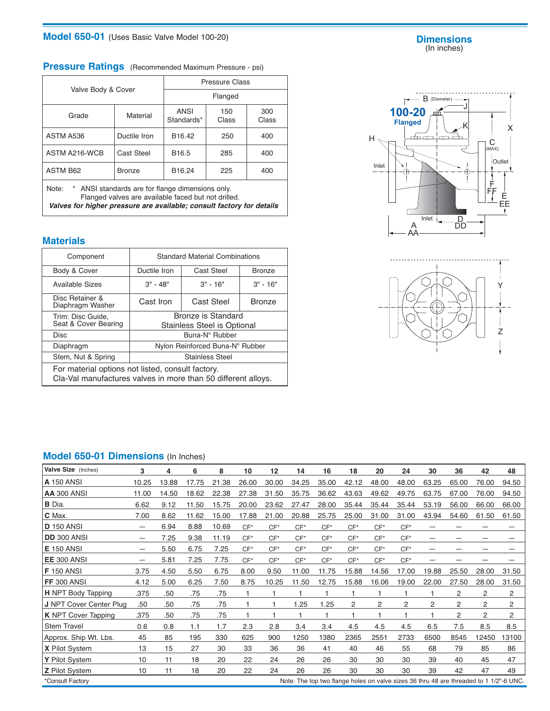## **Model 650-01** (Uses Basic Valve Model 100-20)

#### **Dimensions** (In inches)

# **Pressure Ratings** (Recommended Maximum Pressure - psi)

|                                                                                |                                                                                                         |                    | Pressure Class |              |  |  |  |  |  |  |  |
|--------------------------------------------------------------------------------|---------------------------------------------------------------------------------------------------------|--------------------|----------------|--------------|--|--|--|--|--|--|--|
| Valve Body & Cover                                                             |                                                                                                         | Flanged            |                |              |  |  |  |  |  |  |  |
| Grade                                                                          | Material                                                                                                | ANSI<br>Standards* | 150<br>Class   | 300<br>Class |  |  |  |  |  |  |  |
| ASTM A536                                                                      | Ductile Iron                                                                                            | B <sub>16.42</sub> | 250            | 400          |  |  |  |  |  |  |  |
| ASTM A216-WCB                                                                  | Cast Steel                                                                                              | B <sub>16.5</sub>  | 285            | 400          |  |  |  |  |  |  |  |
| <b>ASTM B62</b>                                                                | <b>Bronze</b>                                                                                           | B16.24             | 225            | 400          |  |  |  |  |  |  |  |
| Note:<br>Valves for higher pressure are available; consult factory for details | * ANSI standards are for flange dimensions only.<br>Flanged valves are available faced but not drilled. |                    |                |              |  |  |  |  |  |  |  |

**Materials**

| Component                                                                                                          |                                                   | <b>Standard Material Combinations</b>       |               |  |  |  |  |  |  |
|--------------------------------------------------------------------------------------------------------------------|---------------------------------------------------|---------------------------------------------|---------------|--|--|--|--|--|--|
| Body & Cover                                                                                                       | Ductile Iron                                      | Cast Steel<br><b>Bronze</b>                 |               |  |  |  |  |  |  |
| <b>Available Sizes</b>                                                                                             | $3" - 48"$                                        | $3" - 16"$                                  | $3" - 16"$    |  |  |  |  |  |  |
| Disc Retainer &<br>Diaphragm Washer                                                                                | Cast Iron                                         | <b>Cast Steel</b>                           | <b>Bronze</b> |  |  |  |  |  |  |
| Trim: Disc Guide,<br>Seat & Cover Bearing                                                                          | Bronze is Standard<br>Stainless Steel is Optional |                                             |               |  |  |  |  |  |  |
| <b>Disc</b>                                                                                                        |                                                   | Buna-N <sup>®</sup> Rubber                  |               |  |  |  |  |  |  |
| Diaphragm                                                                                                          |                                                   | Nylon Reinforced Buna-N <sup>®</sup> Rubber |               |  |  |  |  |  |  |
| Stem, Nut & Spring                                                                                                 |                                                   | <b>Stainless Steel</b>                      |               |  |  |  |  |  |  |
| For material options not listed, consult factory.<br>Cla-Val manufactures valves in more than 50 different alloys. |                                                   |                                             |               |  |  |  |  |  |  |





# **Model 650-01 Dimensions** (In Inches)

| Valve Size (Inches)                                                                                        | 3     | 4     | 6     | 8     | 10     | 12    | 14    | 16    | 18    | 20             | 24    | 30    | 36             | 42             | 48    |
|------------------------------------------------------------------------------------------------------------|-------|-------|-------|-------|--------|-------|-------|-------|-------|----------------|-------|-------|----------------|----------------|-------|
| <b>A</b> 150 ANSI                                                                                          | 10.25 | 13.88 | 17.75 | 21.38 | 26.00  | 30.00 | 34.25 | 35.00 | 42.12 | 48.00          | 48.00 | 63.25 | 65.00          | 76.00          | 94.50 |
| <b>AA 300 ANSI</b>                                                                                         | 11.00 | 14.50 | 18.62 | 22.38 | 27.38  | 31.50 | 35.75 | 36.62 | 43.63 | 49.62          | 49.75 | 63.75 | 67.00          | 76.00          | 94.50 |
| <b>B</b> Dia.                                                                                              | 6.62  | 9.12  | 11.50 | 15.75 | 20.00  | 23.62 | 27.47 | 28.00 | 35.44 | 35.44          | 35.44 | 53.19 | 56.00          | 66.00          | 66.00 |
| C Max.                                                                                                     | 7.00  | 8.62  | 11.62 | 15.00 | 17.88  | 21.00 | 20.88 | 25.75 | 25.00 | 31.00          | 31.00 | 43.94 | 54.60          | 61.50          | 61.50 |
| <b>D</b> 150 ANSI                                                                                          | —     | 6.94  | 8.88  | 10.69 | $CF*$  | $CF*$ | $CF*$ | $CF*$ | $CF*$ | $CF*$          | $CF*$ | —     |                |                |       |
| <b>DD 300 ANSI</b>                                                                                         | —     | 7.25  | 9.38  | 11.19 | $CF^*$ | $CF*$ | $CF*$ | $CF*$ | $CF*$ | $CF*$          | $CF*$ |       |                |                |       |
| <b>E</b> 150 ANSI                                                                                          |       | 5.50  | 6.75  | 7.25  | $CF*$  | $CF*$ | $CF*$ | $CF*$ | $CF*$ | $CF*$          | $CF*$ |       |                |                |       |
| <b>EE 300 ANSI</b>                                                                                         | -     | 5.81  | 7.25  | 7.75  | $CF*$  | $CF*$ | $CF*$ | $CF*$ | $CF*$ | $CF*$          | $CF*$ | –     |                |                |       |
| <b>F</b> 150 ANSI                                                                                          | 3.75  | 4.50  | 5.50  | 6.75  | 8.00   | 9.50  | 11.00 | 11.75 | 15.88 | 14.56          | 17.00 | 19.88 | 25.50          | 28.00          | 31.50 |
| <b>FF 300 ANSI</b>                                                                                         | 4.12  | 5.00  | 6.25  | 7.50  | 8.75   | 10.25 | 11.50 | 12.75 | 15.88 | 16.06          | 19.00 | 22.00 | 27.50          | 28.00          | 31.50 |
| <b>H</b> NPT Body Tapping                                                                                  | .375  | .50   | .75   | .75   |        |       | 1     | 1     | 1     | 1              | 1     | 1     | 2              | 2              | 2     |
| <b>J</b> NPT Cover Center Plug                                                                             | .50   | .50   | .75   | .75   |        |       | 1.25  | 1.25  | 2     | $\overline{2}$ | 2     | 2     | 2              | 2              | 2     |
| <b>K</b> NPT Cover Tapping                                                                                 | .375  | .50   | .75   | .75   |        |       |       |       |       |                |       |       | $\overline{2}$ | $\overline{c}$ | 2     |
| <b>Stem Travel</b>                                                                                         | 0.6   | 0.8   | 1.1   | 1.7   | 2.3    | 2.8   | 3.4   | 3.4   | 4.5   | 4.5            | 4.5   | 6.5   | 7.5            | 8.5            | 8.5   |
| Approx. Ship Wt. Lbs.                                                                                      | 45    | 85    | 195   | 330   | 625    | 900   | 1250  | 1380  | 2365  | 2551           | 2733  | 6500  | 8545           | 12450          | 13100 |
| <b>X</b> Pilot System                                                                                      | 13    | 15    | 27    | 30    | 33     | 36    | 36    | 41    | 40    | 46             | 55    | 68    | 79             | 85             | 86    |
| Y Pilot System                                                                                             | 10    | 11    | 18    | 20    | 22     | 24    | 26    | 26    | 30    | 30             | 30    | 39    | 40             | 45             | 47    |
| <b>Z</b> Pilot System                                                                                      | 10    | 11    | 18    | 20    | 22     | 24    | 26    | 26    | 30    | 30             | 30    | 39    | 42             | 47             | 49    |
| *Consult Factory<br>Note: The top two flange holes on valve sizes 36 thru 48 are threaded to 1 1/2"-6 UNC. |       |       |       |       |        |       |       |       |       |                |       |       |                |                |       |